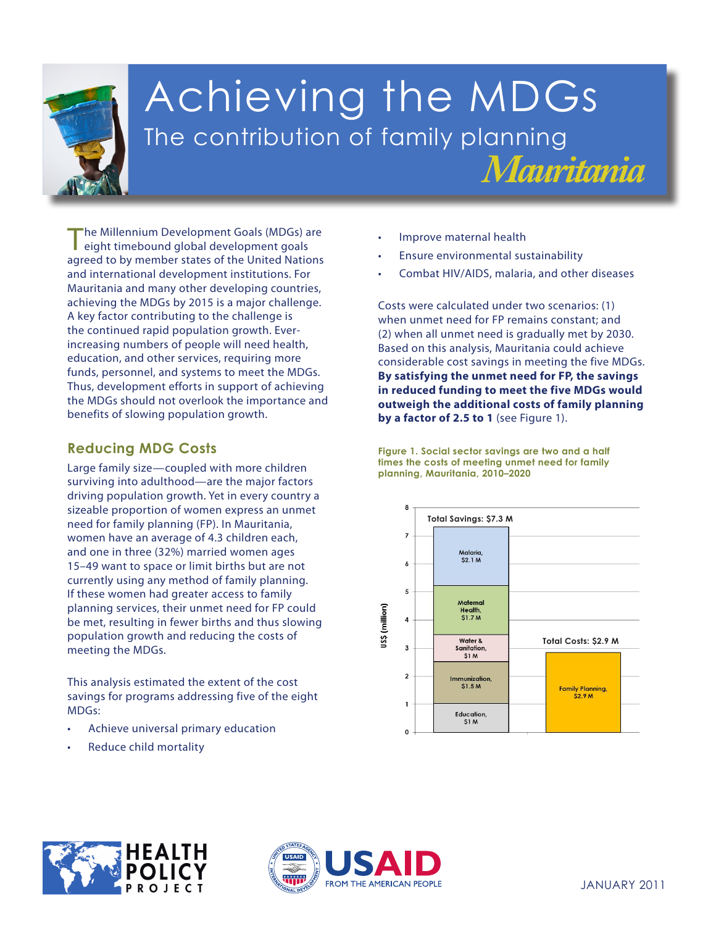

# Achieving the MDGs The contribution of family planning *Mauritania*

The Millennium Development Goals (MDGs) are eight timebound global development goals agreed to by member states of the United Nations and international development institutions. For Mauritania and many other developing countries, achieving the MDGs by 2015 is a major challenge. A key factor contributing to the challenge is the continued rapid population growth. Everincreasing numbers of people will need health, education, and other services, requiring more funds, personnel, and systems to meet the MDGs. Thus, development efforts in support of achieving the MDGs should not overlook the importance and benefits of slowing population growth.

## **Reducing MDG Costs**

**1. Eradicate extreme poverty and hunger** meeting the MDGs. Large family size—coupled with more children surviving into adulthood—are the major factors driving population growth. Yet in every country a sizeable proportion of women express an unmet need for family planning (FP). In Mauritania, women have an average of 4.3 children each, and one in three (32%) married women ages 15–49 want to space or limit births but are not currently using any method of family planning. If these women had greater access to family planning services, their unmet need for FP could be met, resulting in fewer births and thus slowing population growth and reducing the costs of

This analysis estimated the extent of the cost savings for programs addressing five of the eight **MDGs women** MDGs:

- **4. Reduce child mortality** Achieve universal primary education
- **5. Improve maternal** Reduce child mortality
- Improve maternal health
- Ensure environmental sustainability
- Combat HIV/AIDS, malaria, and other diseases

Costs were calculated under two scenarios: (1) when unmet need for FP remains constant; and (2) when all unmet need is gradually met by 2030. Based on this analysis, Mauritania could achieve considerable cost savings in meeting the five MDGs. **By satisfying the unmet need for FP, the savings in reduced funding to meet the five MDGs would outweigh the additional costs of family planning by a factor of 2.5 to 1** (see Figure 1).

**Figure 1. Social sector savings are two and a half times the costs of meeting unmet need for family planning, Mauritania, 2010–2020**